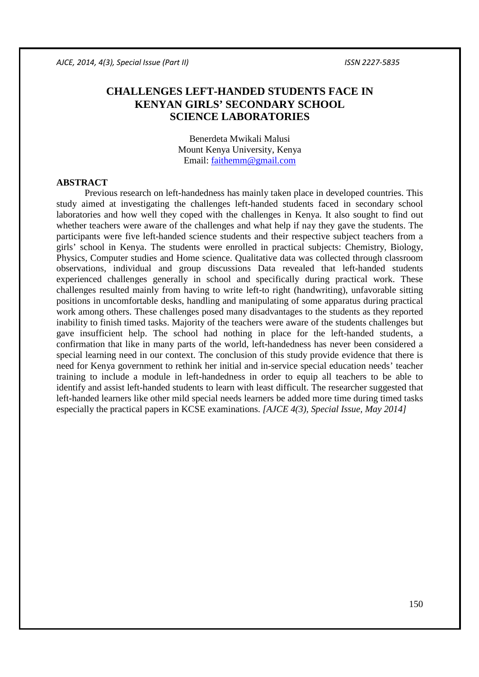# **CHALLENGES LEFT-HANDED STUDENTS FACE IN KENYAN GIRLS' SECONDARY SCHOOL SCIENCE LABORATORIES**

Benerdeta Mwikali Malusi Mount Kenya University, Kenya Email: faithemm@gmail.com

#### **ABSTRACT**

Previous research on left-handedness has mainly taken place in developed countries. This study aimed at investigating the challenges left-handed students faced in secondary school laboratories and how well they coped with the challenges in Kenya. It also sought to find out whether teachers were aware of the challenges and what help if nay they gave the students. The participants were five left-handed science students and their respective subject teachers from a girls' school in Kenya. The students were enrolled in practical subjects: Chemistry, Biology, Physics, Computer studies and Home science. Qualitative data was collected through classroom observations, individual and group discussions Data revealed that left-handed students experienced challenges generally in school and specifically during practical work. These challenges resulted mainly from having to write left-to right (handwriting), unfavorable sitting positions in uncomfortable desks, handling and manipulating of some apparatus during practical work among others. These challenges posed many disadvantages to the students as they reported inability to finish timed tasks. Majority of the teachers were aware of the students challenges but gave insufficient help. The school had nothing in place for the left-handed students, a confirmation that like in many parts of the world, left-handedness has never been considered a special learning need in our context. The conclusion of this study provide evidence that there is need for Kenya government to rethink her initial and in-service special education needs' teacher training to include a module in left-handedness in order to equip all teachers to be able to identify and assist left-handed students to learn with least difficult. The researcher suggested that left-handed learners like other mild special needs learners be added more time during timed tasks especially the practical papers in KCSE examinations. *[AJCE 4(3), Special Issue, May 2014]*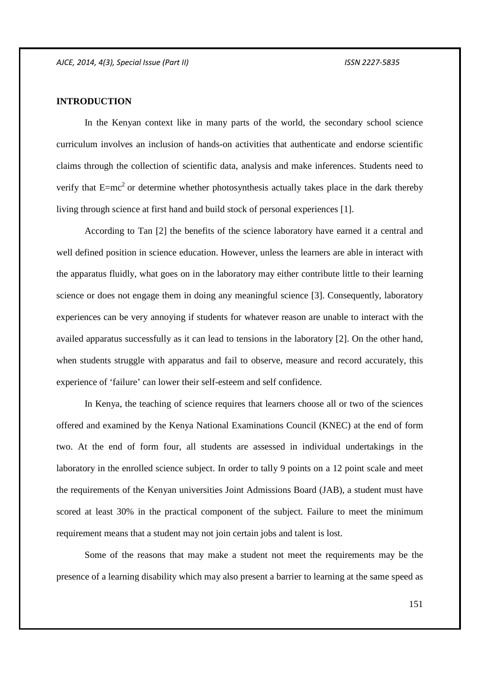# **INTRODUCTION**

In the Kenyan context like in many parts of the world, the secondary school science curriculum involves an inclusion of hands-on activities that authenticate and endorse scientific claims through the collection of scientific data, analysis and make inferences. Students need to verify that  $E=mc^2$  or determine whether photosynthesis actually takes place in the dark thereby living through science at first hand and build stock of personal experiences [1].

According to Tan [2] the benefits of the science laboratory have earned it a central and well defined position in science education. However, unless the learners are able in interact with the apparatus fluidly, what goes on in the laboratory may either contribute little to their learning science or does not engage them in doing any meaningful science [3]. Consequently, laboratory experiences can be very annoying if students for whatever reason are unable to interact with the availed apparatus successfully as it can lead to tensions in the laboratory [2]. On the other hand, when students struggle with apparatus and fail to observe, measure and record accurately, this experience of 'failure' can lower their self-esteem and self confidence.

In Kenya, the teaching of science requires that learners choose all or two of the sciences offered and examined by the Kenya National Examinations Council (KNEC) at the end of form two. At the end of form four, all students are assessed in individual undertakings in the laboratory in the enrolled science subject. In order to tally 9 points on a 12 point scale and meet the requirements of the Kenyan universities Joint Admissions Board (JAB), a student must have scored at least 30% in the practical component of the subject. Failure to meet the minimum requirement means that a student may not join certain jobs and talent is lost.

Some of the reasons that may make a student not meet the requirements may be the presence of a learning disability which may also present a barrier to learning at the same speed as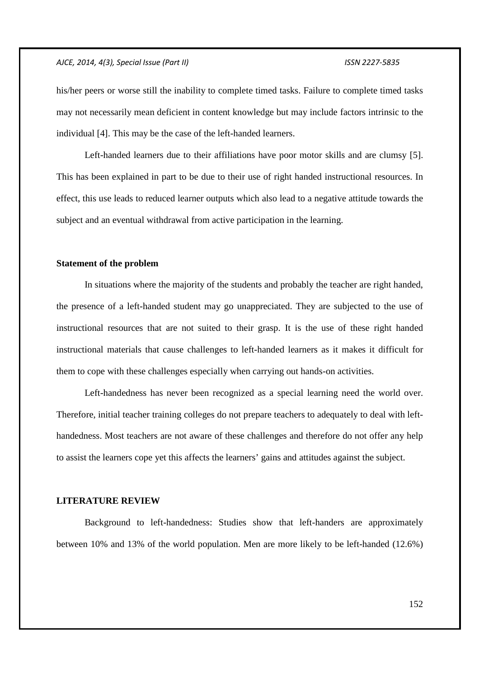his/her peers or worse still the inability to complete timed tasks. Failure to complete timed tasks may not necessarily mean deficient in content knowledge but may include factors intrinsic to the individual [4]. This may be the case of the left-handed learners.

Left-handed learners due to their affiliations have poor motor skills and are clumsy [5]. This has been explained in part to be due to their use of right handed instructional resources. In effect, this use leads to reduced learner outputs which also lead to a negative attitude towards the subject and an eventual withdrawal from active participation in the learning.

#### **Statement of the problem**

In situations where the majority of the students and probably the teacher are right handed, the presence of a left-handed student may go unappreciated. They are subjected to the use of instructional resources that are not suited to their grasp. It is the use of these right handed instructional materials that cause challenges to left-handed learners as it makes it difficult for them to cope with these challenges especially when carrying out hands-on activities.

Left-handedness has never been recognized as a special learning need the world over. Therefore, initial teacher training colleges do not prepare teachers to adequately to deal with lefthandedness. Most teachers are not aware of these challenges and therefore do not offer any help to assist the learners cope yet this affects the learners' gains and attitudes against the subject.

#### **LITERATURE REVIEW**

Background to left-handedness: Studies show that left-handers are approximately between 10% and 13% of the world population. Men are more likely to be left-handed (12.6%)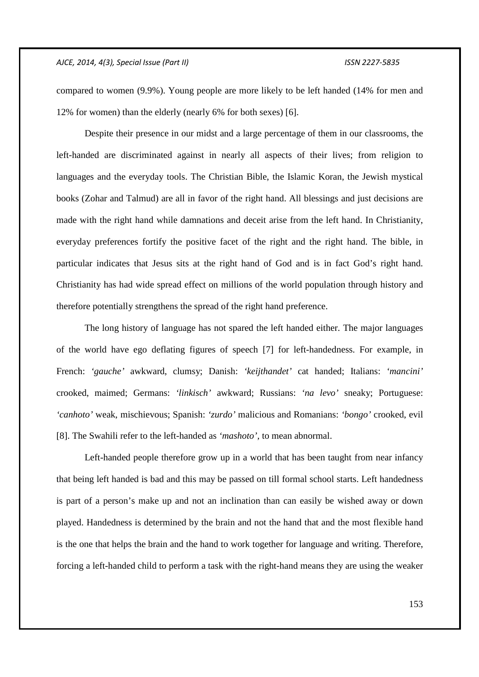compared to women (9.9%). Young people are more likely to be left handed (14% for men and 12% for women) than the elderly (nearly 6% for both sexes) [6].

Despite their presence in our midst and a large percentage of them in our classrooms, the left-handed are discriminated against in nearly all aspects of their lives; from religion to languages and the everyday tools. The Christian Bible, the Islamic Koran, the Jewish mystical books (Zohar and Talmud) are all in favor of the right hand. All blessings and just decisions are made with the right hand while damnations and deceit arise from the left hand. In Christianity, everyday preferences fortify the positive facet of the right and the right hand. The bible, in particular indicates that Jesus sits at the right hand of God and is in fact God's right hand. Christianity has had wide spread effect on millions of the world population through history and therefore potentially strengthens the spread of the right hand preference.

The long history of language has not spared the left handed either. The major languages of the world have ego deflating figures of speech [7] for left-handedness. For example, in French: *'gauche'* awkward, clumsy; Danish: *'keijthandet'* cat handed; Italians: *'mancini'* crooked, maimed; Germans: *'linkisch'* awkward; Russians: *'na levo'* sneaky; Portuguese: *'canhoto'* weak, mischievous; Spanish: *'zurdo'* malicious and Romanians: *'bongo'* crooked, evil [8]. The Swahili refer to the left-handed as *'mashoto',* to mean abnormal.

Left-handed people therefore grow up in a world that has been taught from near infancy that being left handed is bad and this may be passed on till formal school starts. Left handedness is part of a person's make up and not an inclination than can easily be wished away or down played. Handedness is determined by the brain and not the hand that and the most flexible hand is the one that helps the brain and the hand to work together for language and writing. Therefore, forcing a left-handed child to perform a task with the right-hand means they are using the weaker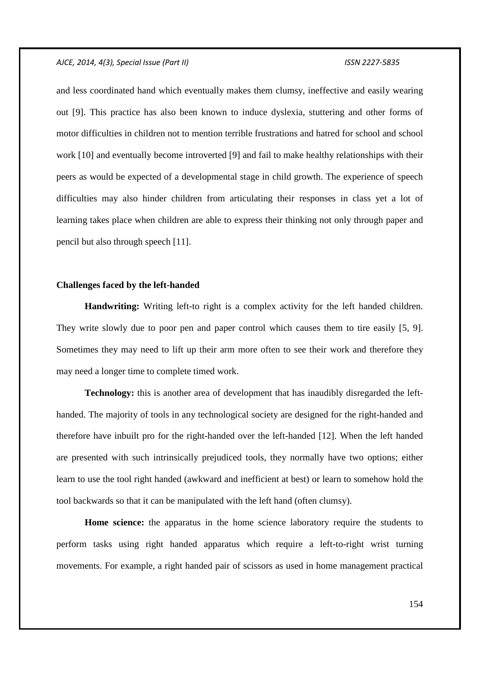and less coordinated hand which eventually makes them clumsy, ineffective and easily wearing out [9]. This practice has also been known to induce dyslexia, stuttering and other forms of motor difficulties in children not to mention terrible frustrations and hatred for school and school work [10] and eventually become introverted [9] and fail to make healthy relationships with their peers as would be expected of a developmental stage in child growth. The experience of speech difficulties may also hinder children from articulating their responses in class yet a lot of learning takes place when children are able to express their thinking not only through paper and pencil but also through speech [11].

### **Challenges faced by the left-handed**

**Handwriting:** Writing left-to right is a complex activity for the left handed children. They write slowly due to poor pen and paper control which causes them to tire easily [5, 9]. Sometimes they may need to lift up their arm more often to see their work and therefore they may need a longer time to complete timed work.

**Technology:** this is another area of development that has inaudibly disregarded the lefthanded. The majority of tools in any technological society are designed for the right-handed and therefore have inbuilt pro for the right-handed over the left-handed [12]. When the left handed are presented with such intrinsically prejudiced tools, they normally have two options; either learn to use the tool right handed (awkward and inefficient at best) or learn to somehow hold the tool backwards so that it can be manipulated with the left hand (often clumsy).

**Home science:** the apparatus in the home science laboratory require the students to perform tasks using right handed apparatus which require a left-to-right wrist turning movements. For example, a right handed pair of scissors as used in home management practical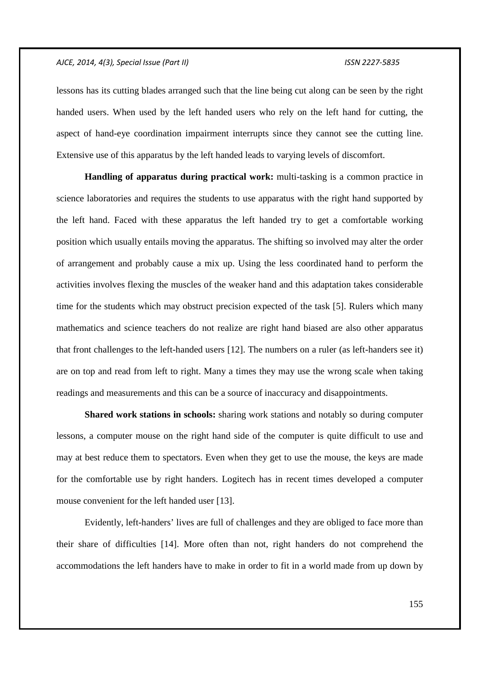lessons has its cutting blades arranged such that the line being cut along can be seen by the right handed users. When used by the left handed users who rely on the left hand for cutting, the aspect of hand-eye coordination impairment interrupts since they cannot see the cutting line. Extensive use of this apparatus by the left handed leads to varying levels of discomfort.

**Handling of apparatus during practical work:** multi-tasking is a common practice in science laboratories and requires the students to use apparatus with the right hand supported by the left hand. Faced with these apparatus the left handed try to get a comfortable working position which usually entails moving the apparatus. The shifting so involved may alter the order of arrangement and probably cause a mix up. Using the less coordinated hand to perform the activities involves flexing the muscles of the weaker hand and this adaptation takes considerable time for the students which may obstruct precision expected of the task [5]. Rulers which many mathematics and science teachers do not realize are right hand biased are also other apparatus that front challenges to the left-handed users [12]. The numbers on a ruler (as left-handers see it) are on top and read from left to right. Many a times they may use the wrong scale when taking readings and measurements and this can be a source of inaccuracy and disappointments.

**Shared work stations in schools:** sharing work stations and notably so during computer lessons, a computer mouse on the right hand side of the computer is quite difficult to use and may at best reduce them to spectators. Even when they get to use the mouse, the keys are made for the comfortable use by right handers. Logitech has in recent times developed a computer mouse convenient for the left handed user [13].

Evidently, left-handers' lives are full of challenges and they are obliged to face more than their share of difficulties [14]. More often than not, right handers do not comprehend the accommodations the left handers have to make in order to fit in a world made from up down by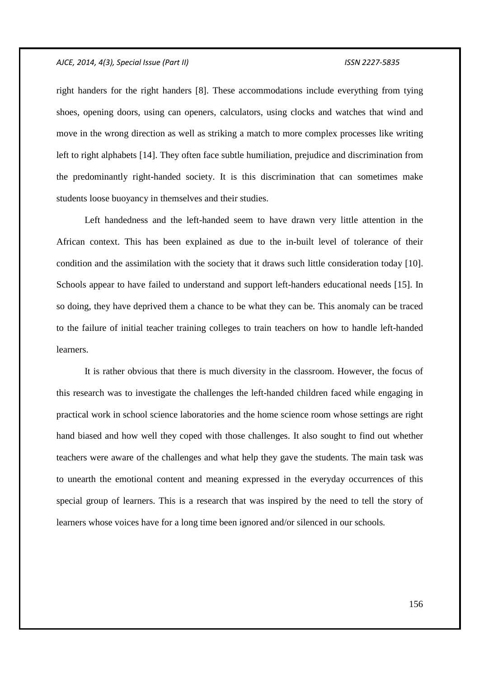right handers for the right handers [8]. These accommodations include everything from tying shoes, opening doors, using can openers, calculators, using clocks and watches that wind and move in the wrong direction as well as striking a match to more complex processes like writing left to right alphabets [14]. They often face subtle humiliation, prejudice and discrimination from the predominantly right-handed society. It is this discrimination that can sometimes make students loose buoyancy in themselves and their studies.

Left handedness and the left-handed seem to have drawn very little attention in the African context. This has been explained as due to the in-built level of tolerance of their condition and the assimilation with the society that it draws such little consideration today [10]. Schools appear to have failed to understand and support left-handers educational needs [15]. In so doing, they have deprived them a chance to be what they can be. This anomaly can be traced to the failure of initial teacher training colleges to train teachers on how to handle left-handed learners.

It is rather obvious that there is much diversity in the classroom. However, the focus of this research was to investigate the challenges the left-handed children faced while engaging in practical work in school science laboratories and the home science room whose settings are right hand biased and how well they coped with those challenges. It also sought to find out whether teachers were aware of the challenges and what help they gave the students. The main task was to unearth the emotional content and meaning expressed in the everyday occurrences of this special group of learners. This is a research that was inspired by the need to tell the story of learners whose voices have for a long time been ignored and/or silenced in our schools.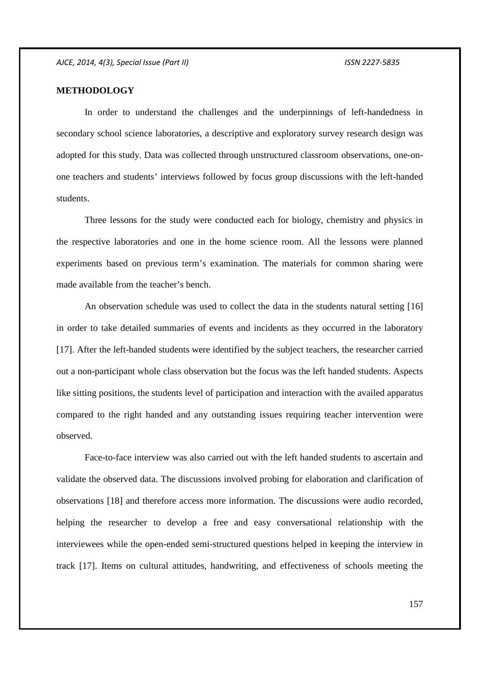## **METHODOLOGY**

In order to understand the challenges and the underpinnings of left-handedness in secondary school science laboratories, a descriptive and exploratory survey research design was adopted for this study. Data was collected through unstructured classroom observations, one-onone teachers and students' interviews followed by focus group discussions with the left-handed students.

Three lessons for the study were conducted each for biology, chemistry and physics in the respective laboratories and one in the home science room. All the lessons were planned experiments based on previous term's examination. The materials for common sharing were made available from the teacher's bench.

An observation schedule was used to collect the data in the students natural setting [16] in order to take detailed summaries of events and incidents as they occurred in the laboratory [17]. After the left-handed students were identified by the subject teachers, the researcher carried out a non-participant whole class observation but the focus was the left handed students. Aspects like sitting positions, the students level of participation and interaction with the availed apparatus compared to the right handed and any outstanding issues requiring teacher intervention were observed.

Face-to-face interview was also carried out with the left handed students to ascertain and validate the observed data. The discussions involved probing for elaboration and clarification of observations [18] and therefore access more information. The discussions were audio recorded, helping the researcher to develop a free and easy conversational relationship with the interviewees while the open-ended semi-structured questions helped in keeping the interview in track [17]. Items on cultural attitudes, handwriting, and effectiveness of schools meeting the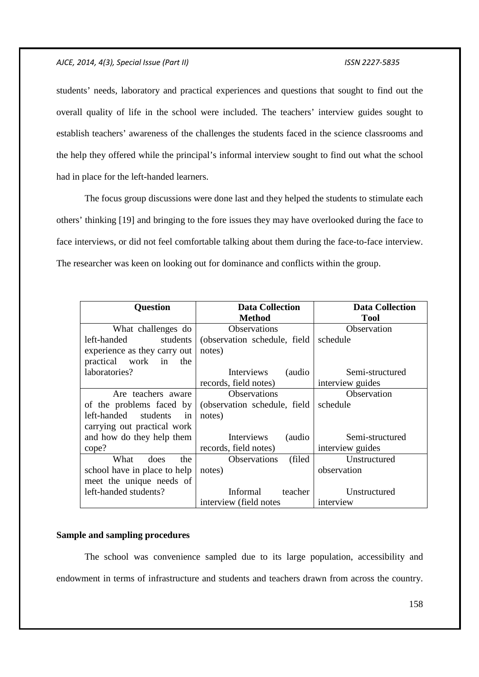students' needs, laboratory and practical experiences and questions that sought to find out the overall quality of life in the school were included. The teachers' interview guides sought to establish teachers' awareness of the challenges the students faced in the science classrooms and the help they offered while the principal's informal interview sought to find out what the school had in place for the left-handed learners.

The focus group discussions were done last and they helped the students to stimulate each others' thinking [19] and bringing to the fore issues they may have overlooked during the face to face interviews, or did not feel comfortable talking about them during the face-to-face interview. The researcher was keen on looking out for dominance and conflicts within the group.

| <b>Question</b>                  | <b>Data Collection</b>         | <b>Data Collection</b> |
|----------------------------------|--------------------------------|------------------------|
|                                  | <b>Method</b>                  | <b>Tool</b>            |
| What challenges do               | <b>Observations</b>            | Observation            |
| left-handed<br>students          | (observation schedule, field)  | schedule               |
| experience as they carry out     | notes)                         |                        |
| practical work in the            |                                |                        |
| laboratories?                    | (audio<br>Interviews           | Semi-structured        |
|                                  | records, field notes)          | interview guides       |
| Are teachers aware               | Observations                   | Observation            |
| of the problems faced by $\vert$ | (observation schedule, field)  | schedule               |
| left-handed students<br>in       | notes)                         |                        |
| carrying out practical work      |                                |                        |
| and how do they help them        | Interviews<br>(audio           | Semi-structured        |
| cope?                            | records, field notes)          | interview guides       |
| What<br>the<br>does              | <b>Observations</b><br>(filed) | Unstructured           |
| school have in place to help     | notes)                         | observation            |
| meet the unique needs of         |                                |                        |
| left-handed students?            | Informal<br>teacher            | Unstructured           |
|                                  | interview (field notes         | interview              |

### **Sample and sampling procedures**

The school was convenience sampled due to its large population, accessibility and endowment in terms of infrastructure and students and teachers drawn from across the country.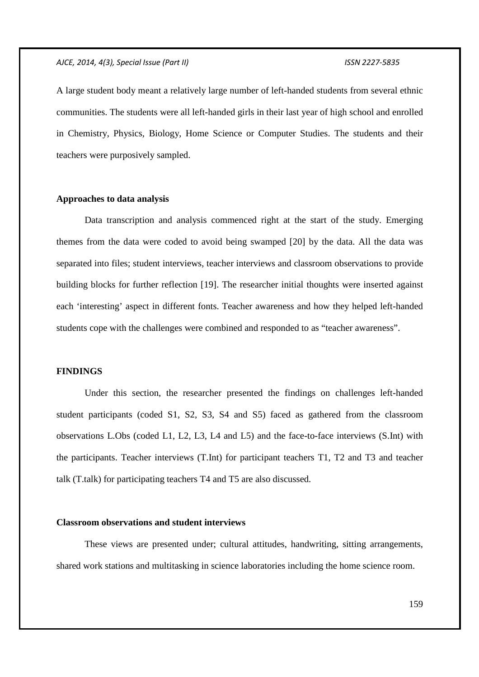A large student body meant a relatively large number of left-handed students from several ethnic communities. The students were all left-handed girls in their last year of high school and enrolled in Chemistry, Physics, Biology, Home Science or Computer Studies. The students and their teachers were purposively sampled.

### **Approaches to data analysis**

Data transcription and analysis commenced right at the start of the study. Emerging themes from the data were coded to avoid being swamped [20] by the data. All the data was separated into files; student interviews, teacher interviews and classroom observations to provide building blocks for further reflection [19]. The researcher initial thoughts were inserted against each 'interesting' aspect in different fonts. Teacher awareness and how they helped left-handed students cope with the challenges were combined and responded to as "teacher awareness".

## **FINDINGS**

Under this section, the researcher presented the findings on challenges left-handed student participants (coded S1, S2, S3, S4 and S5) faced as gathered from the classroom observations L.Obs (coded L1, L2, L3, L4 and L5) and the face-to-face interviews (S.Int) with the participants. Teacher interviews (T.Int) for participant teachers T1, T2 and T3 and teacher talk (T.talk) for participating teachers T4 and T5 are also discussed.

### **Classroom observations and student interviews**

These views are presented under; cultural attitudes, handwriting, sitting arrangements, shared work stations and multitasking in science laboratories including the home science room.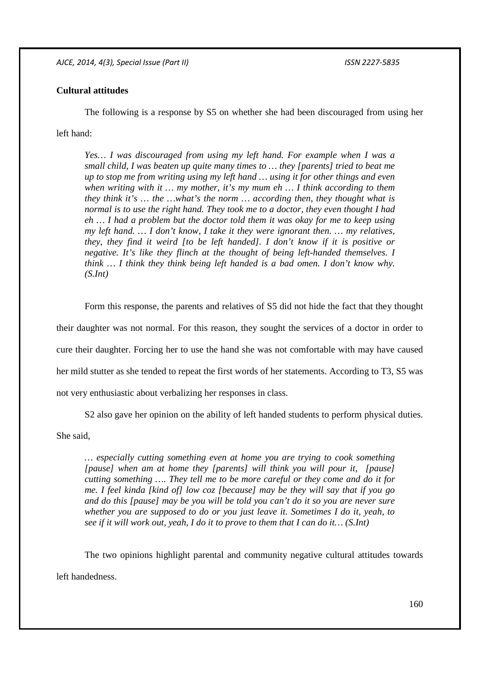# **Cultural attitudes**

The following is a response by S5 on whether she had been discouraged from using her left hand:

*Yes… I was discouraged from using my left hand. For example when I was a small child, I was beaten up quite many times to … they [parents] tried to beat me up to stop me from writing using my left hand … using it for other things and even when writing with it … my mother, it's my mum eh … I think according to them they think it's … the …what's the norm … according then, they thought what is normal is to use the right hand. They took me to a doctor, they even thought I had eh … I had a problem but the doctor told them it was okay for me to keep using my left hand. … I don't know, I take it they were ignorant then. … my relatives, they, they find it weird [to be left handed]. I don't know if it is positive or negative. It's like they flinch at the thought of being left-handed themselves. I think … I think they think being left handed is a bad omen. I don't know why. (S.Int)* 

Form this response, the parents and relatives of S5 did not hide the fact that they thought their daughter was not normal. For this reason, they sought the services of a doctor in order to cure their daughter. Forcing her to use the hand she was not comfortable with may have caused her mild stutter as she tended to repeat the first words of her statements. According to T3, S5 was not very enthusiastic about verbalizing her responses in class.

S2 also gave her opinion on the ability of left handed students to perform physical duties.

She said,

*… especially cutting something even at home you are trying to cook something [pause] when am at home they [parents] will think you will pour it, [pause] cutting something …. They tell me to be more careful or they come and do it for me. I feel kinda [kind of] low coz [because] may be they will say that if you go and do this [pause] may be you will be told you can't do it so you are never sure whether you are supposed to do or you just leave it. Sometimes I do it, yeah, to see if it will work out, yeah, I do it to prove to them that I can do it… (S.Int)* 

The two opinions highlight parental and community negative cultural attitudes towards left handedness.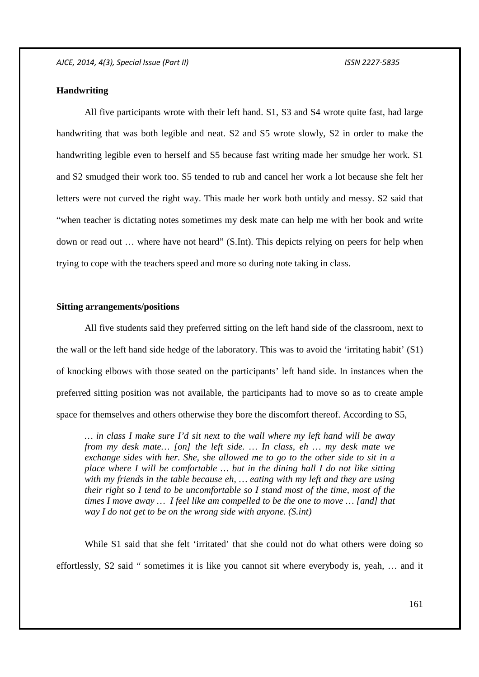# **Handwriting**

All five participants wrote with their left hand. S1, S3 and S4 wrote quite fast, had large handwriting that was both legible and neat. S2 and S5 wrote slowly, S2 in order to make the handwriting legible even to herself and S5 because fast writing made her smudge her work. S1 and S2 smudged their work too. S5 tended to rub and cancel her work a lot because she felt her letters were not curved the right way. This made her work both untidy and messy. S2 said that "when teacher is dictating notes sometimes my desk mate can help me with her book and write down or read out … where have not heard" (S.Int). This depicts relying on peers for help when trying to cope with the teachers speed and more so during note taking in class.

## **Sitting arrangements/positions**

All five students said they preferred sitting on the left hand side of the classroom, next to the wall or the left hand side hedge of the laboratory. This was to avoid the 'irritating habit' (S1) of knocking elbows with those seated on the participants' left hand side. In instances when the preferred sitting position was not available, the participants had to move so as to create ample space for themselves and others otherwise they bore the discomfort thereof. According to S5,

*… in class I make sure I'd sit next to the wall where my left hand will be away from my desk mate… [on] the left side. … In class, eh … my desk mate we exchange sides with her. She, she allowed me to go to the other side to sit in a place where I will be comfortable … but in the dining hall I do not like sitting with my friends in the table because eh, … eating with my left and they are using their right so I tend to be uncomfortable so I stand most of the time, most of the times I move away … I feel like am compelled to be the one to move … [and] that way I do not get to be on the wrong side with anyone. (S.int)* 

While S1 said that she felt 'irritated' that she could not do what others were doing so effortlessly, S2 said " sometimes it is like you cannot sit where everybody is, yeah, … and it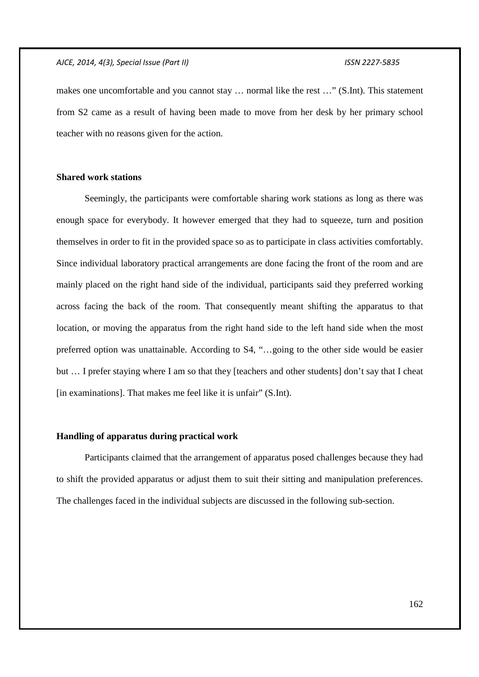makes one uncomfortable and you cannot stay … normal like the rest …" (S.Int). This statement from S2 came as a result of having been made to move from her desk by her primary school teacher with no reasons given for the action.

# **Shared work stations**

Seemingly, the participants were comfortable sharing work stations as long as there was enough space for everybody. It however emerged that they had to squeeze, turn and position themselves in order to fit in the provided space so as to participate in class activities comfortably. Since individual laboratory practical arrangements are done facing the front of the room and are mainly placed on the right hand side of the individual, participants said they preferred working across facing the back of the room. That consequently meant shifting the apparatus to that location, or moving the apparatus from the right hand side to the left hand side when the most preferred option was unattainable. According to S4, "…going to the other side would be easier but … I prefer staying where I am so that they [teachers and other students] don't say that I cheat [in examinations]. That makes me feel like it is unfair" (S.Int).

# **Handling of apparatus during practical work**

Participants claimed that the arrangement of apparatus posed challenges because they had to shift the provided apparatus or adjust them to suit their sitting and manipulation preferences. The challenges faced in the individual subjects are discussed in the following sub-section.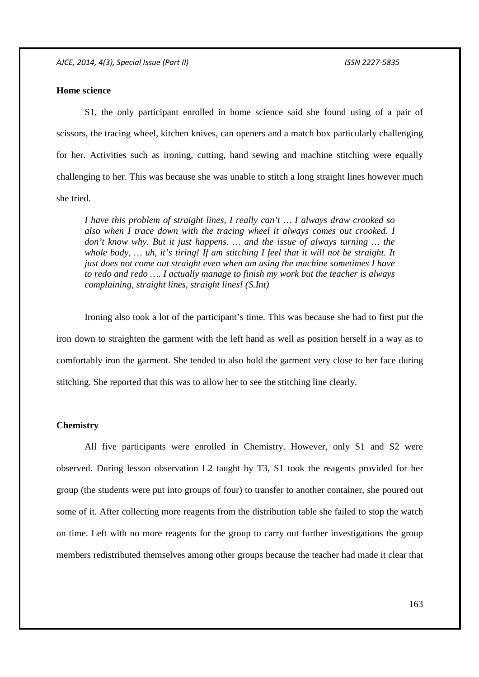## **Home science**

S1, the only participant enrolled in home science said she found using of a pair of scissors, the tracing wheel, kitchen knives, can openers and a match box particularly challenging for her. Activities such as ironing, cutting, hand sewing and machine stitching were equally challenging to her. This was because she was unable to stitch a long straight lines however much she tried.

*I have this problem of straight lines, I really can't … I always draw crooked so also when I trace down with the tracing wheel it always comes out crooked. I don't know why. But it just happens. … and the issue of always turning … the whole body, … uh, it's tiring! If am stitching I feel that it will not be straight. It just does not come out straight even when am using the machine sometimes I have to redo and redo …. I actually manage to finish my work but the teacher is always complaining, straight lines, straight lines! (S.Int)* 

Ironing also took a lot of the participant's time. This was because she had to first put the iron down to straighten the garment with the left hand as well as position herself in a way as to comfortably iron the garment. She tended to also hold the garment very close to her face during stitching. She reported that this was to allow her to see the stitching line clearly.

#### **Chemistry**

All five participants were enrolled in Chemistry. However, only S1 and S2 were observed. During lesson observation L2 taught by T3, S1 took the reagents provided for her group (the students were put into groups of four) to transfer to another container, she poured out some of it. After collecting more reagents from the distribution table she failed to stop the watch on time. Left with no more reagents for the group to carry out further investigations the group members redistributed themselves among other groups because the teacher had made it clear that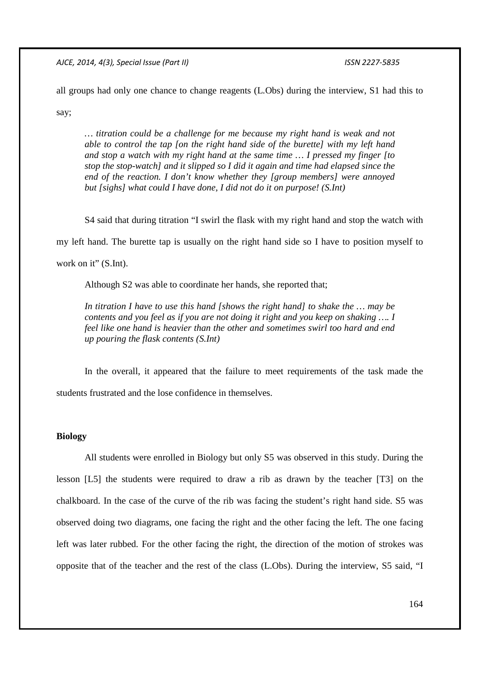all groups had only one chance to change reagents (L.Obs) during the interview, S1 had this to

say;

*… titration could be a challenge for me because my right hand is weak and not able to control the tap [on the right hand side of the burette] with my left hand and stop a watch with my right hand at the same time … I pressed my finger [to stop the stop-watch] and it slipped so I did it again and time had elapsed since the end of the reaction. I don't know whether they [group members] were annoyed but [sighs] what could I have done, I did not do it on purpose! (S.Int)* 

S4 said that during titration "I swirl the flask with my right hand and stop the watch with my left hand. The burette tap is usually on the right hand side so I have to position myself to work on it" (S.Int).

Although S2 was able to coordinate her hands, she reported that;

*In titration I have to use this hand [shows the right hand] to shake the … may be contents and you feel as if you are not doing it right and you keep on shaking …. I feel like one hand is heavier than the other and sometimes swirl too hard and end up pouring the flask contents (S.Int)* 

In the overall, it appeared that the failure to meet requirements of the task made the students frustrated and the lose confidence in themselves.

# **Biology**

All students were enrolled in Biology but only S5 was observed in this study. During the lesson [L5] the students were required to draw a rib as drawn by the teacher [T3] on the chalkboard. In the case of the curve of the rib was facing the student's right hand side. S5 was observed doing two diagrams, one facing the right and the other facing the left. The one facing left was later rubbed. For the other facing the right, the direction of the motion of strokes was opposite that of the teacher and the rest of the class (L.Obs). During the interview, S5 said, "I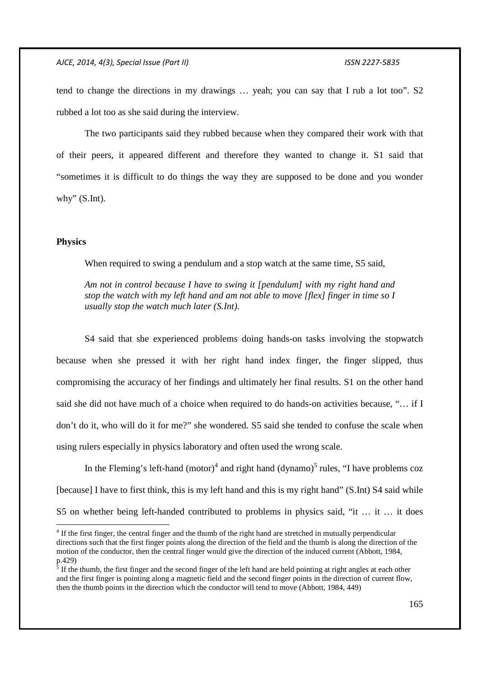tend to change the directions in my drawings … yeah; you can say that I rub a lot too". S2 rubbed a lot too as she said during the interview.

The two participants said they rubbed because when they compared their work with that of their peers, it appeared different and therefore they wanted to change it. S1 said that "sometimes it is difficult to do things the way they are supposed to be done and you wonder why" (S.Int).

### **Physics**

-

When required to swing a pendulum and a stop watch at the same time, S5 said,

*Am not in control because I have to swing it [pendulum] with my right hand and stop the watch with my left hand and am not able to move [flex] finger in time so I usually stop the watch much later (S.Int).* 

S4 said that she experienced problems doing hands-on tasks involving the stopwatch because when she pressed it with her right hand index finger, the finger slipped, thus compromising the accuracy of her findings and ultimately her final results. S1 on the other hand said she did not have much of a choice when required to do hands-on activities because, "… if I don't do it, who will do it for me?" she wondered. S5 said she tended to confuse the scale when using rulers especially in physics laboratory and often used the wrong scale.

In the Fleming's left-hand  $(motor)^4$  and right hand  $(dynamo)^5$  rules, "I have problems coz [because] I have to first think, this is my left hand and this is my right hand" (S.Int) S4 said while S5 on whether being left-handed contributed to problems in physics said, "it … it … it does

<sup>&</sup>lt;sup>4</sup> If the first finger, the central finger and the thumb of the right hand are stretched in mutually perpendicular directions such that the first finger points along the direction of the field and the thumb is along the direction of the motion of the conductor, then the central finger would give the direction of the induced current (Abbott, 1984, p.429)<br><sup>5</sup> If the

If the thumb, the first finger and the second finger of the left hand are held pointing at right angles at each other and the first finger is pointing along a magnetic field and the second finger points in the direction of current flow, then the thumb points in the direction which the conductor will tend to move (Abbott, 1984, 449)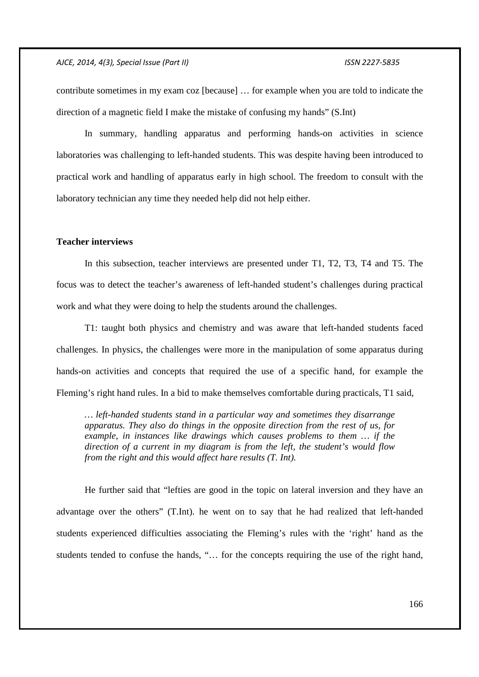contribute sometimes in my exam coz [because] … for example when you are told to indicate the direction of a magnetic field I make the mistake of confusing my hands" (S.Int)

In summary, handling apparatus and performing hands-on activities in science laboratories was challenging to left-handed students. This was despite having been introduced to practical work and handling of apparatus early in high school. The freedom to consult with the laboratory technician any time they needed help did not help either.

# **Teacher interviews**

In this subsection, teacher interviews are presented under T1, T2, T3, T4 and T5. The focus was to detect the teacher's awareness of left-handed student's challenges during practical work and what they were doing to help the students around the challenges.

T1: taught both physics and chemistry and was aware that left-handed students faced challenges. In physics, the challenges were more in the manipulation of some apparatus during hands-on activities and concepts that required the use of a specific hand, for example the Fleming's right hand rules. In a bid to make themselves comfortable during practicals, T1 said,

*… left-handed students stand in a particular way and sometimes they disarrange apparatus. They also do things in the opposite direction from the rest of us, for example, in instances like drawings which causes problems to them … if the direction of a current in my diagram is from the left, the student's would flow from the right and this would affect hare results (T. Int).* 

He further said that "lefties are good in the topic on lateral inversion and they have an advantage over the others" (T.Int). he went on to say that he had realized that left-handed students experienced difficulties associating the Fleming's rules with the 'right' hand as the students tended to confuse the hands, "… for the concepts requiring the use of the right hand,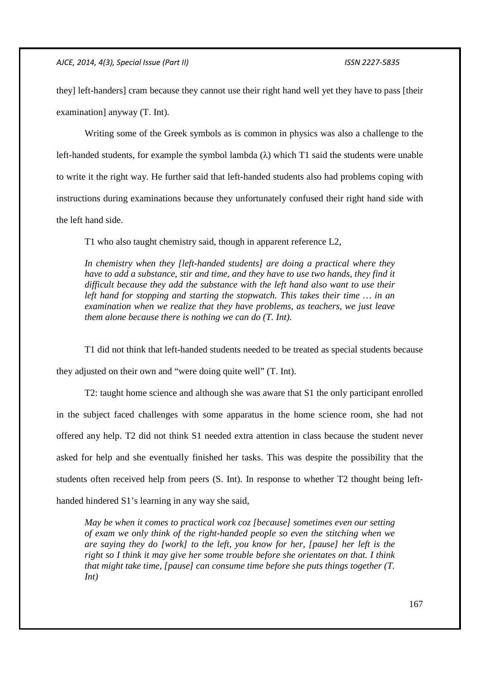they] left-handers] cram because they cannot use their right hand well yet they have to pass [their examination] anyway (T. Int).

Writing some of the Greek symbols as is common in physics was also a challenge to the left-handed students, for example the symbol lambda  $(\lambda)$  which T1 said the students were unable to write it the right way. He further said that left-handed students also had problems coping with instructions during examinations because they unfortunately confused their right hand side with the left hand side.

T1 who also taught chemistry said, though in apparent reference L2,

*In chemistry when they [left-handed students] are doing a practical where they have to add a substance, stir and time, and they have to use two hands, they find it difficult because they add the substance with the left hand also want to use their left hand for stopping and starting the stopwatch. This takes their time … in an examination when we realize that they have problems, as teachers, we just leave them alone because there is nothing we can do (T. Int).* 

T1 did not think that left-handed students needed to be treated as special students because they adjusted on their own and "were doing quite well" (T. Int).

T2: taught home science and although she was aware that S1 the only participant enrolled in the subject faced challenges with some apparatus in the home science room, she had not offered any help. T2 did not think S1 needed extra attention in class because the student never asked for help and she eventually finished her tasks. This was despite the possibility that the students often received help from peers (S. Int). In response to whether T2 thought being lefthanded hindered S1's learning in any way she said,

*May be when it comes to practical work coz [because] sometimes even our setting of exam we only think of the right-handed people so even the stitching when we are saying they do [work] to the left, you know for her, [pause] her left is the right so I think it may give her some trouble before she orientates on that. I think that might take time, [pause] can consume time before she puts things together (T. Int)*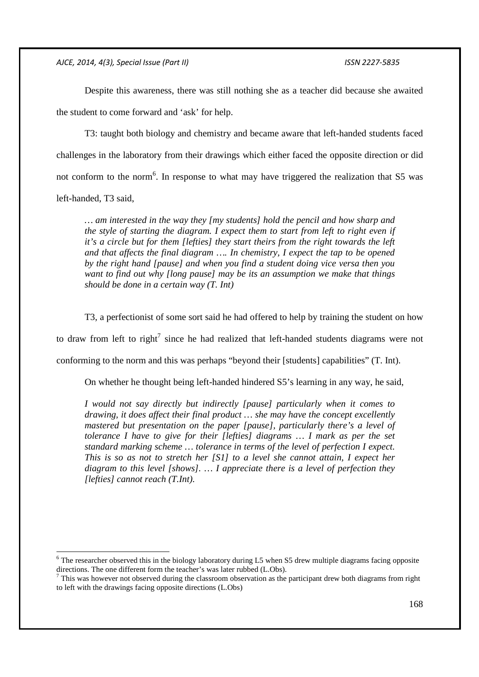-

Despite this awareness, there was still nothing she as a teacher did because she awaited the student to come forward and 'ask' for help.

T3: taught both biology and chemistry and became aware that left-handed students faced challenges in the laboratory from their drawings which either faced the opposite direction or did not conform to the norm<sup>6</sup>. In response to what may have triggered the realization that S5 was left-handed, T3 said,

*… am interested in the way they [my students] hold the pencil and how sharp and the style of starting the diagram. I expect them to start from left to right even if it's a circle but for them [lefties] they start theirs from the right towards the left and that affects the final diagram …. In chemistry, I expect the tap to be opened by the right hand [pause] and when you find a student doing vice versa then you want to find out why [long pause] may be its an assumption we make that things should be done in a certain way (T. Int)* 

T3, a perfectionist of some sort said he had offered to help by training the student on how to draw from left to right<sup>7</sup> since he had realized that left-handed students diagrams were not conforming to the norm and this was perhaps "beyond their [students] capabilities" (T. Int).

On whether he thought being left-handed hindered S5's learning in any way, he said,

*I would not say directly but indirectly [pause] particularly when it comes to drawing, it does affect their final product … she may have the concept excellently mastered but presentation on the paper [pause], particularly there's a level of tolerance I have to give for their [lefties] diagrams ... I mark as per the set standard marking scheme … tolerance in terms of the level of perfection I expect. This is so as not to stretch her [S1] to a level she cannot attain, I expect her diagram to this level [shows]. … I appreciate there is a level of perfection they [lefties] cannot reach (T.Int).* 

<sup>&</sup>lt;sup>6</sup> The researcher observed this in the biology laboratory during L5 when S5 drew multiple diagrams facing opposite directions. The one different form the teacher's was later rubbed (L.Obs).

 $<sup>7</sup>$  This was however not observed during the classroom observation as the participant drew both diagrams from right</sup> to left with the drawings facing opposite directions (L.Obs)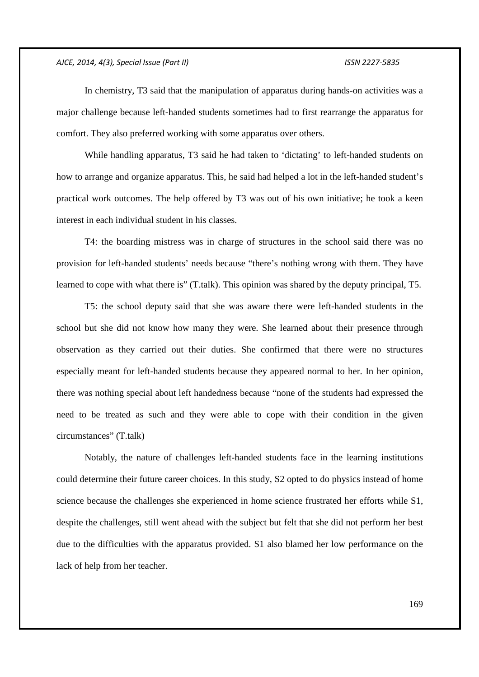In chemistry, T3 said that the manipulation of apparatus during hands-on activities was a major challenge because left-handed students sometimes had to first rearrange the apparatus for comfort. They also preferred working with some apparatus over others.

While handling apparatus, T3 said he had taken to 'dictating' to left-handed students on how to arrange and organize apparatus. This, he said had helped a lot in the left-handed student's practical work outcomes. The help offered by T3 was out of his own initiative; he took a keen interest in each individual student in his classes.

T4: the boarding mistress was in charge of structures in the school said there was no provision for left-handed students' needs because "there's nothing wrong with them. They have learned to cope with what there is" (T.talk). This opinion was shared by the deputy principal, T5.

T5: the school deputy said that she was aware there were left-handed students in the school but she did not know how many they were. She learned about their presence through observation as they carried out their duties. She confirmed that there were no structures especially meant for left-handed students because they appeared normal to her. In her opinion, there was nothing special about left handedness because "none of the students had expressed the need to be treated as such and they were able to cope with their condition in the given circumstances" (T.talk)

Notably, the nature of challenges left-handed students face in the learning institutions could determine their future career choices. In this study, S2 opted to do physics instead of home science because the challenges she experienced in home science frustrated her efforts while S1, despite the challenges, still went ahead with the subject but felt that she did not perform her best due to the difficulties with the apparatus provided. S1 also blamed her low performance on the lack of help from her teacher.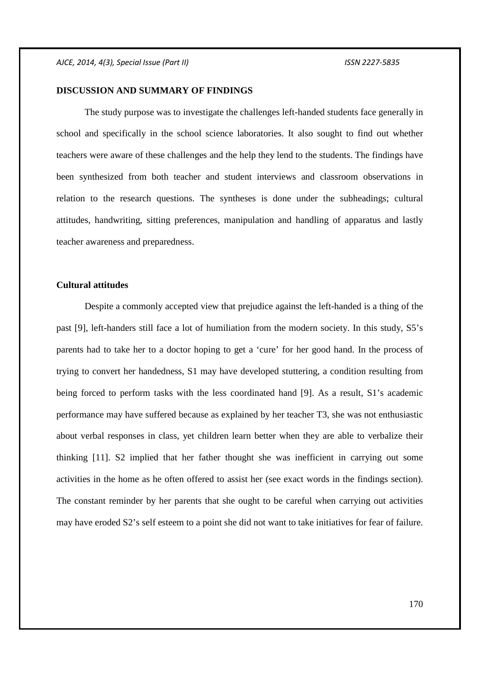### **DISCUSSION AND SUMMARY OF FINDINGS**

The study purpose was to investigate the challenges left-handed students face generally in school and specifically in the school science laboratories. It also sought to find out whether teachers were aware of these challenges and the help they lend to the students. The findings have been synthesized from both teacher and student interviews and classroom observations in relation to the research questions. The syntheses is done under the subheadings; cultural attitudes, handwriting, sitting preferences, manipulation and handling of apparatus and lastly teacher awareness and preparedness.

### **Cultural attitudes**

Despite a commonly accepted view that prejudice against the left-handed is a thing of the past [9], left-handers still face a lot of humiliation from the modern society. In this study, S5's parents had to take her to a doctor hoping to get a 'cure' for her good hand. In the process of trying to convert her handedness, S1 may have developed stuttering, a condition resulting from being forced to perform tasks with the less coordinated hand [9]. As a result, S1's academic performance may have suffered because as explained by her teacher T3, she was not enthusiastic about verbal responses in class, yet children learn better when they are able to verbalize their thinking [11]. S2 implied that her father thought she was inefficient in carrying out some activities in the home as he often offered to assist her (see exact words in the findings section). The constant reminder by her parents that she ought to be careful when carrying out activities may have eroded S2's self esteem to a point she did not want to take initiatives for fear of failure.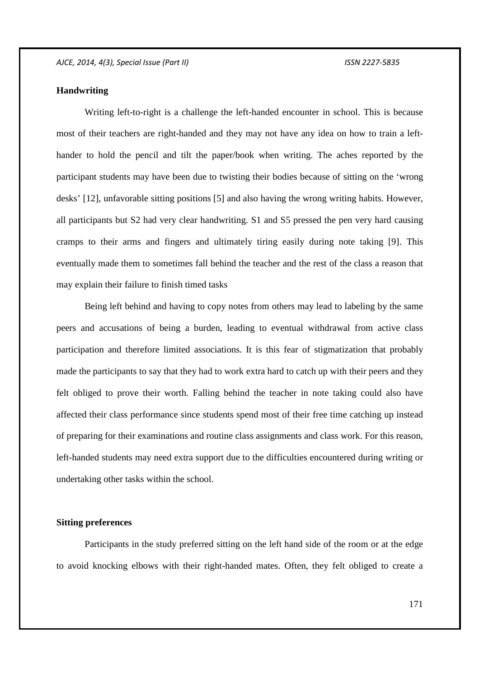# **Handwriting**

Writing left-to-right is a challenge the left-handed encounter in school. This is because most of their teachers are right-handed and they may not have any idea on how to train a lefthander to hold the pencil and tilt the paper/book when writing. The aches reported by the participant students may have been due to twisting their bodies because of sitting on the 'wrong desks' [12], unfavorable sitting positions [5] and also having the wrong writing habits. However, all participants but S2 had very clear handwriting. S1 and S5 pressed the pen very hard causing cramps to their arms and fingers and ultimately tiring easily during note taking [9]. This eventually made them to sometimes fall behind the teacher and the rest of the class a reason that may explain their failure to finish timed tasks

Being left behind and having to copy notes from others may lead to labeling by the same peers and accusations of being a burden, leading to eventual withdrawal from active class participation and therefore limited associations. It is this fear of stigmatization that probably made the participants to say that they had to work extra hard to catch up with their peers and they felt obliged to prove their worth. Falling behind the teacher in note taking could also have affected their class performance since students spend most of their free time catching up instead of preparing for their examinations and routine class assignments and class work. For this reason, left-handed students may need extra support due to the difficulties encountered during writing or undertaking other tasks within the school.

### **Sitting preferences**

Participants in the study preferred sitting on the left hand side of the room or at the edge to avoid knocking elbows with their right-handed mates. Often, they felt obliged to create a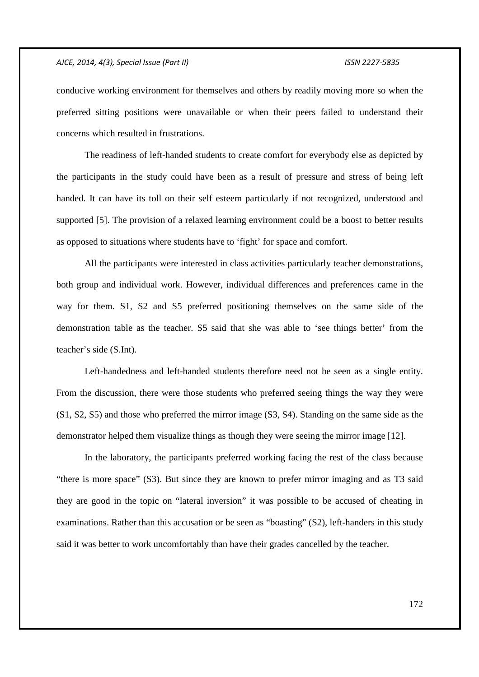conducive working environment for themselves and others by readily moving more so when the preferred sitting positions were unavailable or when their peers failed to understand their concerns which resulted in frustrations.

The readiness of left-handed students to create comfort for everybody else as depicted by the participants in the study could have been as a result of pressure and stress of being left handed. It can have its toll on their self esteem particularly if not recognized, understood and supported [5]. The provision of a relaxed learning environment could be a boost to better results as opposed to situations where students have to 'fight' for space and comfort.

All the participants were interested in class activities particularly teacher demonstrations, both group and individual work. However, individual differences and preferences came in the way for them. S1, S2 and S5 preferred positioning themselves on the same side of the demonstration table as the teacher. S5 said that she was able to 'see things better' from the teacher's side (S.Int).

Left-handedness and left-handed students therefore need not be seen as a single entity. From the discussion, there were those students who preferred seeing things the way they were (S1, S2, S5) and those who preferred the mirror image (S3, S4). Standing on the same side as the demonstrator helped them visualize things as though they were seeing the mirror image [12].

In the laboratory, the participants preferred working facing the rest of the class because "there is more space" (S3). But since they are known to prefer mirror imaging and as T3 said they are good in the topic on "lateral inversion" it was possible to be accused of cheating in examinations. Rather than this accusation or be seen as "boasting" (S2), left-handers in this study said it was better to work uncomfortably than have their grades cancelled by the teacher.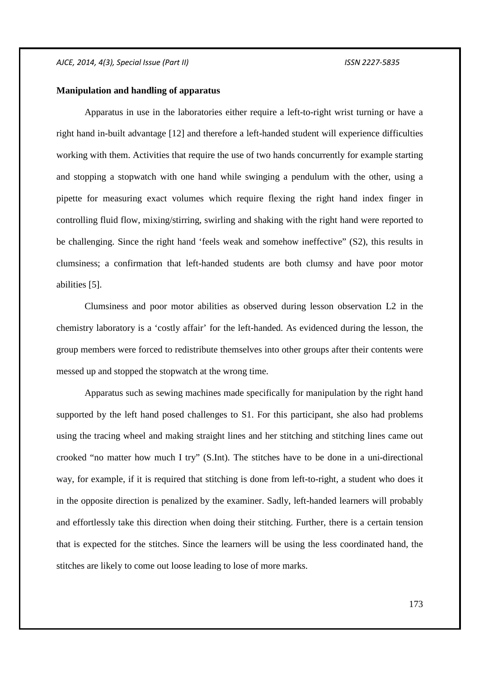## **Manipulation and handling of apparatus**

Apparatus in use in the laboratories either require a left-to-right wrist turning or have a right hand in-built advantage [12] and therefore a left-handed student will experience difficulties working with them. Activities that require the use of two hands concurrently for example starting and stopping a stopwatch with one hand while swinging a pendulum with the other, using a pipette for measuring exact volumes which require flexing the right hand index finger in controlling fluid flow, mixing/stirring, swirling and shaking with the right hand were reported to be challenging. Since the right hand 'feels weak and somehow ineffective" (S2), this results in clumsiness; a confirmation that left-handed students are both clumsy and have poor motor abilities [5].

Clumsiness and poor motor abilities as observed during lesson observation L2 in the chemistry laboratory is a 'costly affair' for the left-handed. As evidenced during the lesson, the group members were forced to redistribute themselves into other groups after their contents were messed up and stopped the stopwatch at the wrong time.

Apparatus such as sewing machines made specifically for manipulation by the right hand supported by the left hand posed challenges to S1. For this participant, she also had problems using the tracing wheel and making straight lines and her stitching and stitching lines came out crooked "no matter how much I try" (S.Int). The stitches have to be done in a uni-directional way, for example, if it is required that stitching is done from left-to-right, a student who does it in the opposite direction is penalized by the examiner. Sadly, left-handed learners will probably and effortlessly take this direction when doing their stitching. Further, there is a certain tension that is expected for the stitches. Since the learners will be using the less coordinated hand, the stitches are likely to come out loose leading to lose of more marks.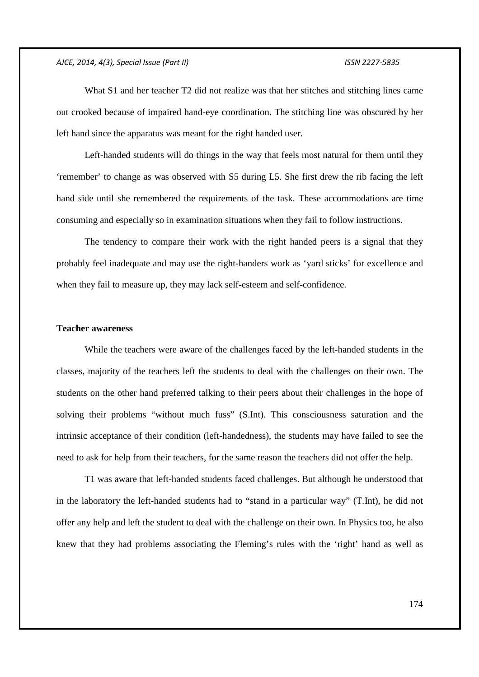What S1 and her teacher T2 did not realize was that her stitches and stitching lines came out crooked because of impaired hand-eye coordination. The stitching line was obscured by her left hand since the apparatus was meant for the right handed user.

Left-handed students will do things in the way that feels most natural for them until they 'remember' to change as was observed with S5 during L5. She first drew the rib facing the left hand side until she remembered the requirements of the task. These accommodations are time consuming and especially so in examination situations when they fail to follow instructions.

The tendency to compare their work with the right handed peers is a signal that they probably feel inadequate and may use the right-handers work as 'yard sticks' for excellence and when they fail to measure up, they may lack self-esteem and self-confidence.

### **Teacher awareness**

While the teachers were aware of the challenges faced by the left-handed students in the classes, majority of the teachers left the students to deal with the challenges on their own. The students on the other hand preferred talking to their peers about their challenges in the hope of solving their problems "without much fuss" (S.Int). This consciousness saturation and the intrinsic acceptance of their condition (left-handedness), the students may have failed to see the need to ask for help from their teachers, for the same reason the teachers did not offer the help.

T1 was aware that left-handed students faced challenges. But although he understood that in the laboratory the left-handed students had to "stand in a particular way" (T.Int), he did not offer any help and left the student to deal with the challenge on their own. In Physics too, he also knew that they had problems associating the Fleming's rules with the 'right' hand as well as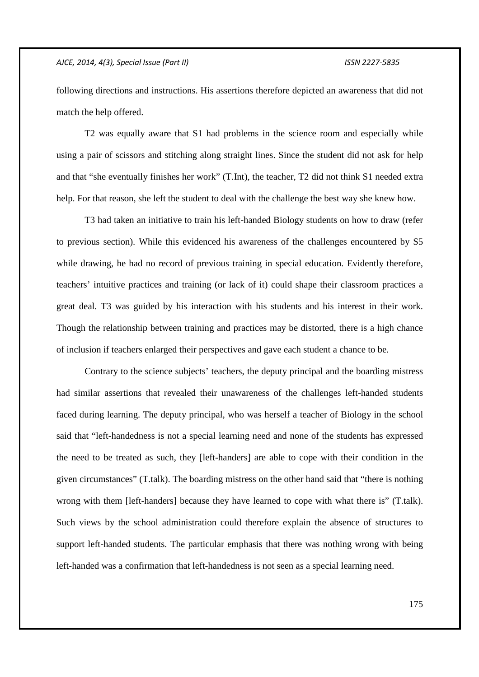following directions and instructions. His assertions therefore depicted an awareness that did not match the help offered.

T2 was equally aware that S1 had problems in the science room and especially while using a pair of scissors and stitching along straight lines. Since the student did not ask for help and that "she eventually finishes her work" (T.Int), the teacher, T2 did not think S1 needed extra help. For that reason, she left the student to deal with the challenge the best way she knew how.

T3 had taken an initiative to train his left-handed Biology students on how to draw (refer to previous section). While this evidenced his awareness of the challenges encountered by S5 while drawing, he had no record of previous training in special education. Evidently therefore, teachers' intuitive practices and training (or lack of it) could shape their classroom practices a great deal. T3 was guided by his interaction with his students and his interest in their work. Though the relationship between training and practices may be distorted, there is a high chance of inclusion if teachers enlarged their perspectives and gave each student a chance to be.

Contrary to the science subjects' teachers, the deputy principal and the boarding mistress had similar assertions that revealed their unawareness of the challenges left-handed students faced during learning. The deputy principal, who was herself a teacher of Biology in the school said that "left-handedness is not a special learning need and none of the students has expressed the need to be treated as such, they [left-handers] are able to cope with their condition in the given circumstances" (T.talk). The boarding mistress on the other hand said that "there is nothing wrong with them [left-handers] because they have learned to cope with what there is" (T.talk). Such views by the school administration could therefore explain the absence of structures to support left-handed students. The particular emphasis that there was nothing wrong with being left-handed was a confirmation that left-handedness is not seen as a special learning need.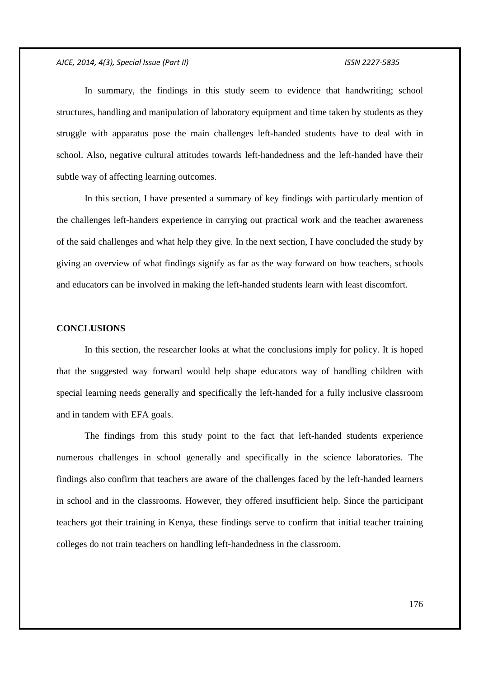In summary, the findings in this study seem to evidence that handwriting; school structures, handling and manipulation of laboratory equipment and time taken by students as they struggle with apparatus pose the main challenges left-handed students have to deal with in school. Also, negative cultural attitudes towards left-handedness and the left-handed have their subtle way of affecting learning outcomes.

In this section, I have presented a summary of key findings with particularly mention of the challenges left-handers experience in carrying out practical work and the teacher awareness of the said challenges and what help they give. In the next section, I have concluded the study by giving an overview of what findings signify as far as the way forward on how teachers, schools and educators can be involved in making the left-handed students learn with least discomfort.

### **CONCLUSIONS**

In this section, the researcher looks at what the conclusions imply for policy. It is hoped that the suggested way forward would help shape educators way of handling children with special learning needs generally and specifically the left-handed for a fully inclusive classroom and in tandem with EFA goals.

The findings from this study point to the fact that left-handed students experience numerous challenges in school generally and specifically in the science laboratories. The findings also confirm that teachers are aware of the challenges faced by the left-handed learners in school and in the classrooms. However, they offered insufficient help. Since the participant teachers got their training in Kenya, these findings serve to confirm that initial teacher training colleges do not train teachers on handling left-handedness in the classroom.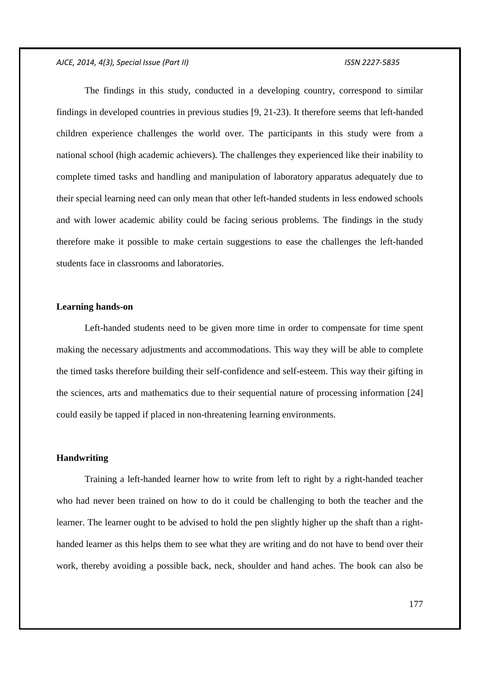The findings in this study, conducted in a developing country, correspond to similar findings in developed countries in previous studies [9, 21-23). It therefore seems that left-handed children experience challenges the world over. The participants in this study were from a national school (high academic achievers). The challenges they experienced like their inability to complete timed tasks and handling and manipulation of laboratory apparatus adequately due to their special learning need can only mean that other left-handed students in less endowed schools and with lower academic ability could be facing serious problems. The findings in the study therefore make it possible to make certain suggestions to ease the challenges the left-handed students face in classrooms and laboratories.

## **Learning hands-on**

Left-handed students need to be given more time in order to compensate for time spent making the necessary adjustments and accommodations. This way they will be able to complete the timed tasks therefore building their self-confidence and self-esteem. This way their gifting in the sciences, arts and mathematics due to their sequential nature of processing information [24] could easily be tapped if placed in non-threatening learning environments.

### **Handwriting**

Training a left-handed learner how to write from left to right by a right-handed teacher who had never been trained on how to do it could be challenging to both the teacher and the learner. The learner ought to be advised to hold the pen slightly higher up the shaft than a righthanded learner as this helps them to see what they are writing and do not have to bend over their work, thereby avoiding a possible back, neck, shoulder and hand aches. The book can also be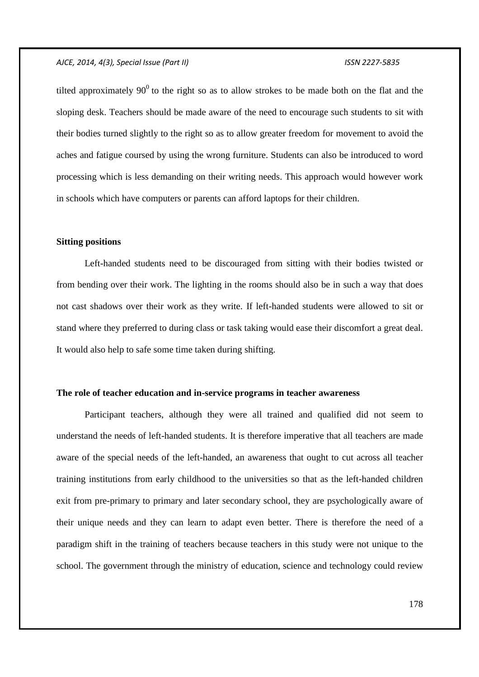tilted approximately  $90^0$  to the right so as to allow strokes to be made both on the flat and the sloping desk. Teachers should be made aware of the need to encourage such students to sit with their bodies turned slightly to the right so as to allow greater freedom for movement to avoid the aches and fatigue coursed by using the wrong furniture. Students can also be introduced to word processing which is less demanding on their writing needs. This approach would however work in schools which have computers or parents can afford laptops for their children.

## **Sitting positions**

Left-handed students need to be discouraged from sitting with their bodies twisted or from bending over their work. The lighting in the rooms should also be in such a way that does not cast shadows over their work as they write. If left-handed students were allowed to sit or stand where they preferred to during class or task taking would ease their discomfort a great deal. It would also help to safe some time taken during shifting.

## **The role of teacher education and in-service programs in teacher awareness**

Participant teachers, although they were all trained and qualified did not seem to understand the needs of left-handed students. It is therefore imperative that all teachers are made aware of the special needs of the left-handed, an awareness that ought to cut across all teacher training institutions from early childhood to the universities so that as the left-handed children exit from pre-primary to primary and later secondary school, they are psychologically aware of their unique needs and they can learn to adapt even better. There is therefore the need of a paradigm shift in the training of teachers because teachers in this study were not unique to the school. The government through the ministry of education, science and technology could review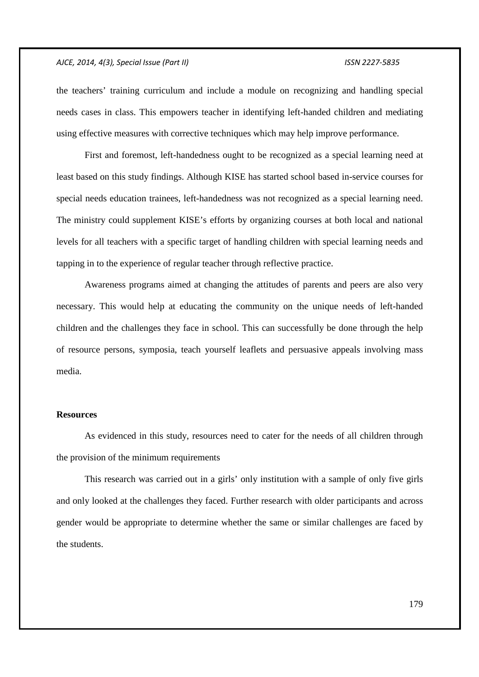the teachers' training curriculum and include a module on recognizing and handling special needs cases in class. This empowers teacher in identifying left-handed children and mediating using effective measures with corrective techniques which may help improve performance.

First and foremost, left-handedness ought to be recognized as a special learning need at least based on this study findings. Although KISE has started school based in-service courses for special needs education trainees, left-handedness was not recognized as a special learning need. The ministry could supplement KISE's efforts by organizing courses at both local and national levels for all teachers with a specific target of handling children with special learning needs and tapping in to the experience of regular teacher through reflective practice.

Awareness programs aimed at changing the attitudes of parents and peers are also very necessary. This would help at educating the community on the unique needs of left-handed children and the challenges they face in school. This can successfully be done through the help of resource persons, symposia, teach yourself leaflets and persuasive appeals involving mass media.

#### **Resources**

As evidenced in this study, resources need to cater for the needs of all children through the provision of the minimum requirements

This research was carried out in a girls' only institution with a sample of only five girls and only looked at the challenges they faced. Further research with older participants and across gender would be appropriate to determine whether the same or similar challenges are faced by the students.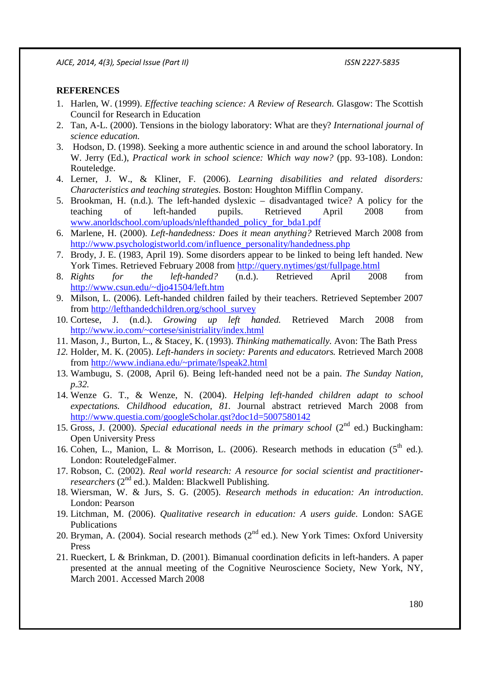# **REFERENCES**

- 1. Harlen, W. (1999). *Effective teaching science: A Review of Research.* Glasgow: The Scottish Council for Research in Education
- 2. Tan, A-L. (2000). Tensions in the biology laboratory: What are they? *International journal of science education.*
- 3. Hodson, D. (1998). Seeking a more authentic science in and around the school laboratory. In W. Jerry (Ed.), *Practical work in school science: Which way now?* (pp. 93-108). London: Routeledge.
- 4. Lerner, J. W., & Kliner, F. (2006). *Learning disabilities and related disorders: Characteristics and teaching strategies.* Boston: Houghton Mifflin Company.
- 5. Brookman, H. (n.d.). The left-handed dyslexic disadvantaged twice? A policy for the teaching of left-handed pupils. Retrieved April 2008 from www.anorldschool.com/uploads/nlefthanded\_policy\_for\_bda1.pdf
- 6. Marlene, H. (2000). *Left-handedness: Does it mean anything?* Retrieved March 2008 from http://www.psychologistworld.com/influence\_personality/handedness.php
- 7. Brody, J. E. (1983, April 19). Some disorders appear to be linked to being left handed. New York Times. Retrieved February 2008 from http://query.nytimes/gst/fullpage.html
- 8. *Rights for the left-handed?* (n.d.). Retrieved April 2008 from http://www.csun.edu/~djo41504/left.htm
- 9. Milson, L. (2006). Left-handed children failed by their teachers. Retrieved September 2007 from http://lefthandedchildren.org/school\_survey
- 10. Cortese, J. (n.d.). *Growing up left handed.* Retrieved March 2008 from http://www.io.com/~cortese/sinistriality/index.html
- 11. Mason, J., Burton, L., & Stacey, K. (1993). *Thinking mathematically.* Avon: The Bath Press
- *12.* Holder, M. K. (2005). *Left-handers in society: Parents and educators.* Retrieved March 2008 from http://www.indiana.edu/~primate/lspeak2.html
- 13. Wambugu, S. (2008, April 6). Being left-handed need not be a pain. *The Sunday Nation, p.32.*
- 14. Wenze G. T., & Wenze, N. (2004). *Helping left-handed children adapt to school expectations. Childhood education, 81.* Journal abstract retrieved March 2008 from http://www.questia.com/googleScholar.qst?doc1d=5007580142
- 15. Gross, J. (2000). *Special educational needs in the primary school* (2<sup>nd</sup> ed.) Buckingham: Open University Press
- 16. Cohen, L., Manion, L. & Morrison, L. (2006). Research methods in education  $(5^{th}$  ed.). London: RouteledgeFalmer.
- 17. Robson, C. (2002). *Real world research: A resource for social scientist and practitionerresearchers* (2<sup>nd</sup> ed.). Malden: Blackwell Publishing.
- 18. Wiersman, W. & Jurs, S. G. (2005). *Research methods in education: An introduction*. London: Pearson
- 19. Litchman, M. (2006). *Qualitative research in education: A users guide*. London: SAGE Publications
- 20. Bryman, A. (2004). Social research methods  $(2^{nd}$  ed.). New York Times: Oxford University Press
- 21. Rueckert, L & Brinkman, D. (2001). Bimanual coordination deficits in left-handers. A paper presented at the annual meeting of the Cognitive Neuroscience Society, New York, NY, March 2001. Accessed March 2008